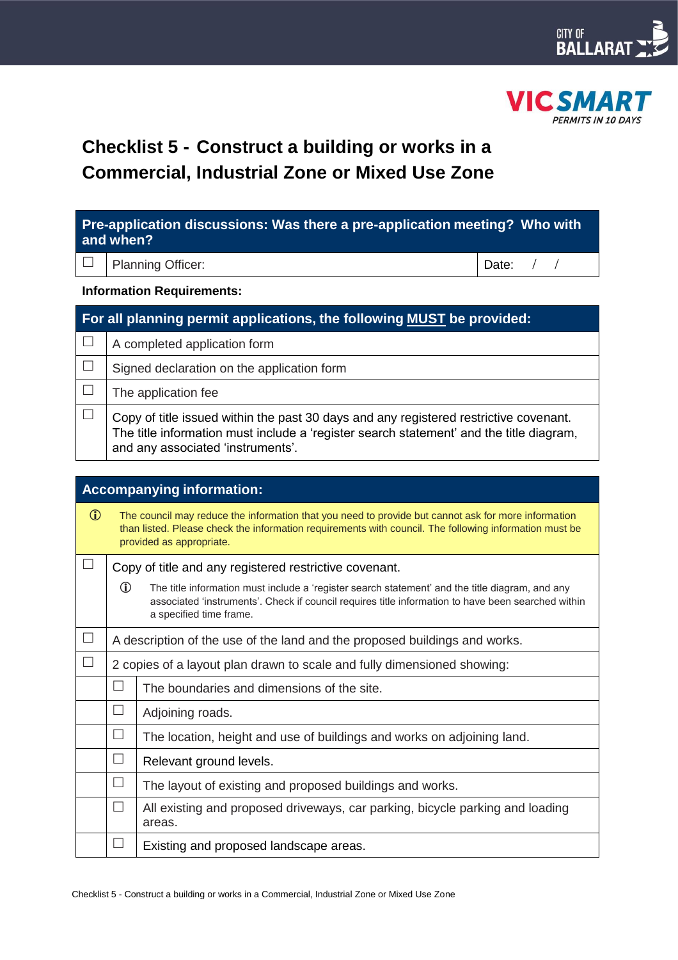



# **Checklist 5 - Construct a building or works in a Commercial, Industrial Zone or Mixed Use Zone**

| Pre-application discussions: Was there a pre-application meeting? Who with<br>and when? |                                                                                                                                                                                                                                                  |       |  |  |  |
|-----------------------------------------------------------------------------------------|--------------------------------------------------------------------------------------------------------------------------------------------------------------------------------------------------------------------------------------------------|-------|--|--|--|
|                                                                                         | Planning Officer:                                                                                                                                                                                                                                | Date: |  |  |  |
| <b>Information Requirements:</b>                                                        |                                                                                                                                                                                                                                                  |       |  |  |  |
| For all planning permit applications, the following MUST be provided:                   |                                                                                                                                                                                                                                                  |       |  |  |  |
| $\Box$                                                                                  | A completed application form                                                                                                                                                                                                                     |       |  |  |  |
| $\Box$                                                                                  | Signed declaration on the application form                                                                                                                                                                                                       |       |  |  |  |
| $\Box$                                                                                  | The application fee                                                                                                                                                                                                                              |       |  |  |  |
| $\Box$                                                                                  | Copy of title issued within the past 30 days and any registered restrictive covenant.<br>The title information must include a 'register search statement' and the title diagram,<br>and any associated 'instruments'.                            |       |  |  |  |
| <b>Accompanying information:</b>                                                        |                                                                                                                                                                                                                                                  |       |  |  |  |
| $\mathbf{D}$                                                                            | The council may reduce the information that you need to provide but cannot ask for more information<br>than listed. Please check the information requirements with council. The following information must be<br>provided as appropriate.        |       |  |  |  |
|                                                                                         | Copy of title and any registered restrictive covenant.                                                                                                                                                                                           |       |  |  |  |
|                                                                                         | $\mathbb{O}$<br>The title information must include a 'register search statement' and the title diagram, and any<br>associated 'instruments'. Check if council requires title information to have been searched within<br>a specified time frame. |       |  |  |  |
| $\Box$                                                                                  | A description of the use of the land and the proposed buildings and works.                                                                                                                                                                       |       |  |  |  |
|                                                                                         | 2 copies of a layout plan drawn to scale and fully dimensioned showing:                                                                                                                                                                          |       |  |  |  |

| $\Box$            | The boundaries and dimensions of the site.                                              |
|-------------------|-----------------------------------------------------------------------------------------|
| $\sqcup$          | Adjoining roads.                                                                        |
| $\sqcup$          | The location, height and use of buildings and works on adjoining land.                  |
| $\Box$            | Relevant ground levels.                                                                 |
| $\sqcup$          | The layout of existing and proposed buildings and works.                                |
| $\vert \ \ \vert$ | All existing and proposed driveways, car parking, bicycle parking and loading<br>areas. |
|                   | Existing and proposed landscape areas.                                                  |